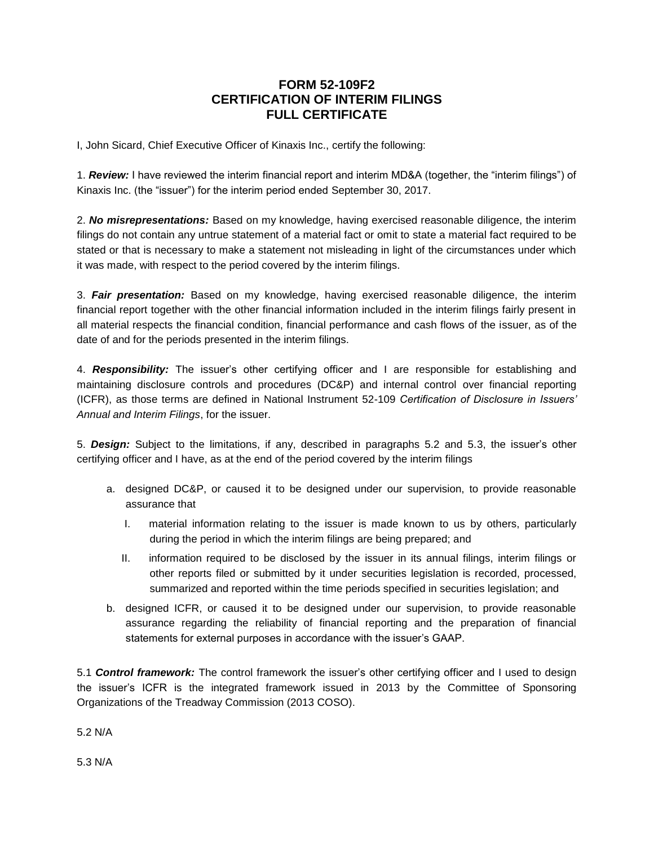## **FORM 52-109F2 CERTIFICATION OF INTERIM FILINGS FULL CERTIFICATE**

I, John Sicard, Chief Executive Officer of Kinaxis Inc., certify the following:

1. *Review:* I have reviewed the interim financial report and interim MD&A (together, the "interim filings") of Kinaxis Inc. (the "issuer") for the interim period ended September 30, 2017.

2. *No misrepresentations:* Based on my knowledge, having exercised reasonable diligence, the interim filings do not contain any untrue statement of a material fact or omit to state a material fact required to be stated or that is necessary to make a statement not misleading in light of the circumstances under which it was made, with respect to the period covered by the interim filings.

3. *Fair presentation:* Based on my knowledge, having exercised reasonable diligence, the interim financial report together with the other financial information included in the interim filings fairly present in all material respects the financial condition, financial performance and cash flows of the issuer, as of the date of and for the periods presented in the interim filings.

4. *Responsibility:* The issuer's other certifying officer and I are responsible for establishing and maintaining disclosure controls and procedures (DC&P) and internal control over financial reporting (ICFR), as those terms are defined in National Instrument 52-109 *Certification of Disclosure in Issuers' Annual and Interim Filings*, for the issuer.

5. *Design:* Subject to the limitations, if any, described in paragraphs 5.2 and 5.3, the issuer's other certifying officer and I have, as at the end of the period covered by the interim filings

- a. designed DC&P, or caused it to be designed under our supervision, to provide reasonable assurance that
	- I. material information relating to the issuer is made known to us by others, particularly during the period in which the interim filings are being prepared; and
	- II. information required to be disclosed by the issuer in its annual filings, interim filings or other reports filed or submitted by it under securities legislation is recorded, processed, summarized and reported within the time periods specified in securities legislation; and
- b. designed ICFR, or caused it to be designed under our supervision, to provide reasonable assurance regarding the reliability of financial reporting and the preparation of financial statements for external purposes in accordance with the issuer's GAAP.

5.1 *Control framework:* The control framework the issuer's other certifying officer and I used to design the issuer's ICFR is the integrated framework issued in 2013 by the Committee of Sponsoring Organizations of the Treadway Commission (2013 COSO).

5.2 N/A

5.3 N/A